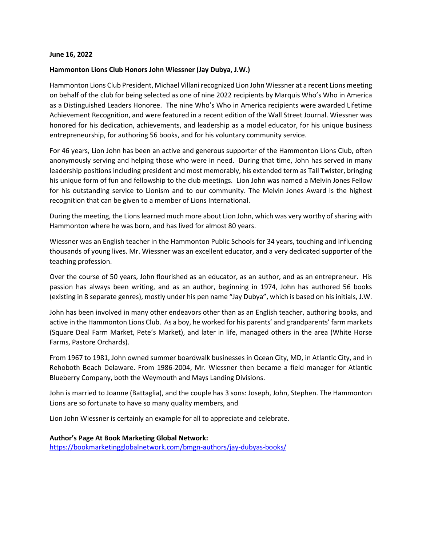## **June 16, 2022**

## **Hammonton Lions Club Honors John Wiessner (Jay Dubya, J.W.)**

Hammonton Lions Club President, Michael Villani recognized Lion John Wiessner at a recent Lions meeting on behalf of the club for being selected as one of nine 2022 recipients by Marquis Who's Who in America as a Distinguished Leaders Honoree. The nine Who's Who in America recipients were awarded Lifetime Achievement Recognition, and were featured in a recent edition of the Wall Street Journal. Wiessner was honored for his dedication, achievements, and leadership as a model educator, for his unique business entrepreneurship, for authoring 56 books, and for his voluntary community service.

For 46 years, Lion John has been an active and generous supporter of the Hammonton Lions Club, often anonymously serving and helping those who were in need. During that time, John has served in many leadership positions including president and most memorably, his extended term as Tail Twister, bringing his unique form of fun and fellowship to the club meetings. Lion John was named a Melvin Jones Fellow for his outstanding service to Lionism and to our community. The Melvin Jones Award is the highest recognition that can be given to a member of Lions International.

During the meeting, the Lions learned much more about Lion John, which was very worthy of sharing with Hammonton where he was born, and has lived for almost 80 years.

Wiessner was an English teacher in the Hammonton Public Schools for 34 years, touching and influencing thousands of young lives. Mr. Wiessner was an excellent educator, and a very dedicated supporter of the teaching profession.

Over the course of 50 years, John flourished as an educator, as an author, and as an entrepreneur. His passion has always been writing, and as an author, beginning in 1974, John has authored 56 books (existing in 8 separate genres), mostly under his pen name "Jay Dubya", which is based on his initials, J.W.

John has been involved in many other endeavors other than as an English teacher, authoring books, and active in the Hammonton Lions Club. As a boy, he worked for his parents' and grandparents' farm markets (Square Deal Farm Market, Pete's Market), and later in life, managed others in the area (White Horse Farms, Pastore Orchards).

From 1967 to 1981, John owned summer boardwalk businesses in Ocean City, MD, in Atlantic City, and in Rehoboth Beach Delaware. From 1986-2004, Mr. Wiessner then became a field manager for Atlantic Blueberry Company, both the Weymouth and Mays Landing Divisions.

John is married to Joanne (Battaglia), and the couple has 3 sons: Joseph, John, Stephen. The Hammonton Lions are so fortunate to have so many quality members, and

Lion John Wiessner is certainly an example for all to appreciate and celebrate.

## **Author's Page At Book Marketing Global Network:**

<https://bookmarketingglobalnetwork.com/bmgn-authors/jay-dubyas-books/>